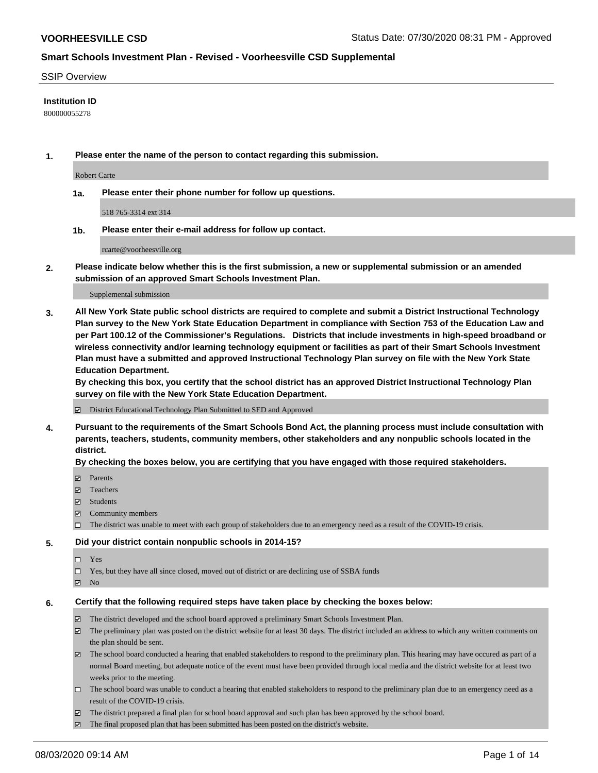### SSIP Overview

### **Institution ID**

800000055278

**1. Please enter the name of the person to contact regarding this submission.**

Robert Carte

**1a. Please enter their phone number for follow up questions.**

518 765-3314 ext 314

**1b. Please enter their e-mail address for follow up contact.**

rcarte@voorheesville.org

**2. Please indicate below whether this is the first submission, a new or supplemental submission or an amended submission of an approved Smart Schools Investment Plan.**

#### Supplemental submission

**3. All New York State public school districts are required to complete and submit a District Instructional Technology Plan survey to the New York State Education Department in compliance with Section 753 of the Education Law and per Part 100.12 of the Commissioner's Regulations. Districts that include investments in high-speed broadband or wireless connectivity and/or learning technology equipment or facilities as part of their Smart Schools Investment Plan must have a submitted and approved Instructional Technology Plan survey on file with the New York State Education Department.** 

**By checking this box, you certify that the school district has an approved District Instructional Technology Plan survey on file with the New York State Education Department.**

District Educational Technology Plan Submitted to SED and Approved

**4. Pursuant to the requirements of the Smart Schools Bond Act, the planning process must include consultation with parents, teachers, students, community members, other stakeholders and any nonpublic schools located in the district.** 

#### **By checking the boxes below, you are certifying that you have engaged with those required stakeholders.**

- **Parents**
- Teachers
- Students
- $\boxtimes$  Community members
- The district was unable to meet with each group of stakeholders due to an emergency need as a result of the COVID-19 crisis.

#### **5. Did your district contain nonpublic schools in 2014-15?**

- $\neg$  Yes
- Yes, but they have all since closed, moved out of district or are declining use of SSBA funds
- **Z** No

#### **6. Certify that the following required steps have taken place by checking the boxes below:**

- The district developed and the school board approved a preliminary Smart Schools Investment Plan.
- $\boxtimes$  The preliminary plan was posted on the district website for at least 30 days. The district included an address to which any written comments on the plan should be sent.
- $\boxtimes$  The school board conducted a hearing that enabled stakeholders to respond to the preliminary plan. This hearing may have occured as part of a normal Board meeting, but adequate notice of the event must have been provided through local media and the district website for at least two weeks prior to the meeting.
- The school board was unable to conduct a hearing that enabled stakeholders to respond to the preliminary plan due to an emergency need as a result of the COVID-19 crisis.
- The district prepared a final plan for school board approval and such plan has been approved by the school board.
- $\boxtimes$  The final proposed plan that has been submitted has been posted on the district's website.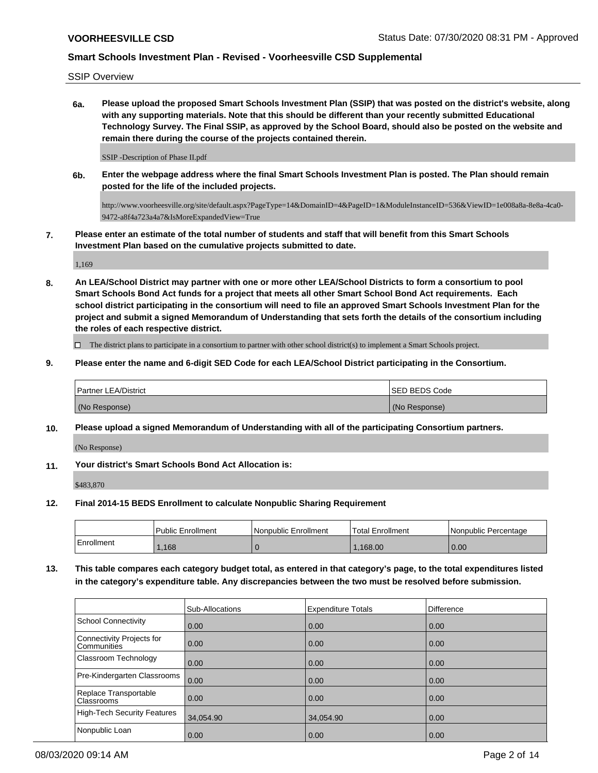SSIP Overview

**6a. Please upload the proposed Smart Schools Investment Plan (SSIP) that was posted on the district's website, along with any supporting materials. Note that this should be different than your recently submitted Educational Technology Survey. The Final SSIP, as approved by the School Board, should also be posted on the website and remain there during the course of the projects contained therein.**

SSIP -Description of Phase II.pdf

**6b. Enter the webpage address where the final Smart Schools Investment Plan is posted. The Plan should remain posted for the life of the included projects.**

http://www.voorheesville.org/site/default.aspx?PageType=14&DomainID=4&PageID=1&ModuleInstanceID=536&ViewID=1e008a8a-8e8a-4ca0- 9472-a8f4a723a4a7&IsMoreExpandedView=True

**7. Please enter an estimate of the total number of students and staff that will benefit from this Smart Schools Investment Plan based on the cumulative projects submitted to date.**

1,169

**8. An LEA/School District may partner with one or more other LEA/School Districts to form a consortium to pool Smart Schools Bond Act funds for a project that meets all other Smart School Bond Act requirements. Each school district participating in the consortium will need to file an approved Smart Schools Investment Plan for the project and submit a signed Memorandum of Understanding that sets forth the details of the consortium including the roles of each respective district.**

 $\Box$  The district plans to participate in a consortium to partner with other school district(s) to implement a Smart Schools project.

**9. Please enter the name and 6-digit SED Code for each LEA/School District participating in the Consortium.**

| <b>Partner LEA/District</b> | <b>ISED BEDS Code</b> |
|-----------------------------|-----------------------|
| (No Response)               | (No Response)         |

**10. Please upload a signed Memorandum of Understanding with all of the participating Consortium partners.**

(No Response)

**11. Your district's Smart Schools Bond Act Allocation is:**

\$483,870

**12. Final 2014-15 BEDS Enrollment to calculate Nonpublic Sharing Requirement**

|            | <b>Public Enrollment</b> | l Nonpublic Enrollment | <b>Total Enrollment</b> | l Nonpublic Percentage |
|------------|--------------------------|------------------------|-------------------------|------------------------|
| Enrollment | ,168                     |                        | .168.00                 | 0.00                   |

**13. This table compares each category budget total, as entered in that category's page, to the total expenditures listed in the category's expenditure table. Any discrepancies between the two must be resolved before submission.**

|                                                 | Sub-Allocations   | <b>Expenditure Totals</b> | <b>Difference</b> |
|-------------------------------------------------|-------------------|---------------------------|-------------------|
| School Connectivity                             | 0.00              | 0.00                      | 0.00              |
| Connectivity Projects for<br><b>Communities</b> | $\overline{0.00}$ | 0.00                      | 0.00              |
| <b>Classroom Technology</b>                     | 0.00              | 0.00                      | 0.00              |
| Pre-Kindergarten Classrooms                     | 0.00              | 0.00                      | 0.00              |
| Replace Transportable<br><b>Classrooms</b>      | $\overline{0.00}$ | 0.00                      | 0.00              |
| High-Tech Security Features                     | 34,054.90         | 34,054.90                 | 0.00              |
| Nonpublic Loan                                  | 0.00              | 0.00                      | 0.00              |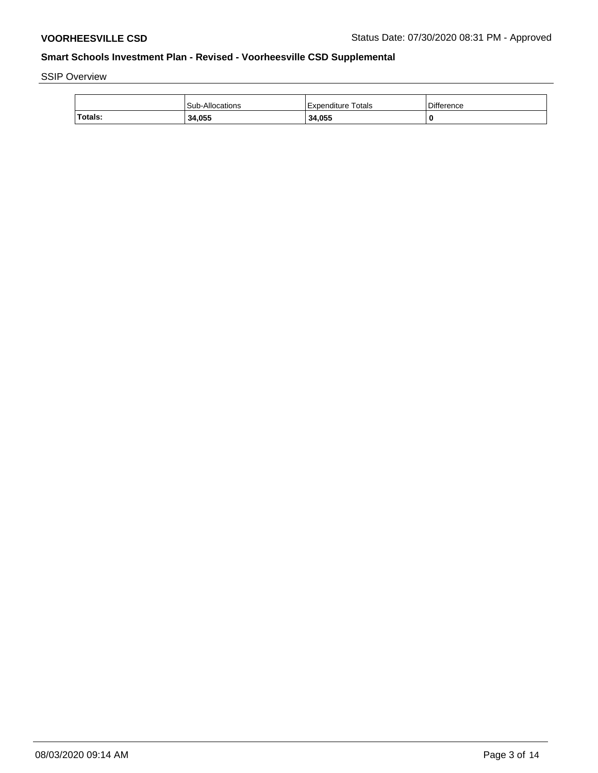SSIP Overview

|         | <b>Sub-Allocations</b> | Expenditure Totals | <b>Difference</b> |
|---------|------------------------|--------------------|-------------------|
| Totals: | 34,055                 | 34,055             |                   |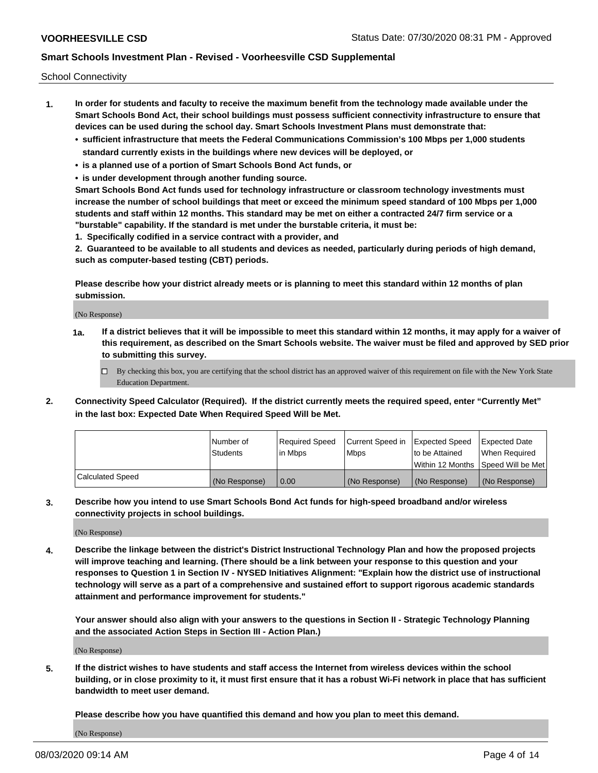School Connectivity

- **1. In order for students and faculty to receive the maximum benefit from the technology made available under the Smart Schools Bond Act, their school buildings must possess sufficient connectivity infrastructure to ensure that devices can be used during the school day. Smart Schools Investment Plans must demonstrate that:**
	- **• sufficient infrastructure that meets the Federal Communications Commission's 100 Mbps per 1,000 students standard currently exists in the buildings where new devices will be deployed, or**
	- **• is a planned use of a portion of Smart Schools Bond Act funds, or**
	- **• is under development through another funding source.**

**Smart Schools Bond Act funds used for technology infrastructure or classroom technology investments must increase the number of school buildings that meet or exceed the minimum speed standard of 100 Mbps per 1,000 students and staff within 12 months. This standard may be met on either a contracted 24/7 firm service or a "burstable" capability. If the standard is met under the burstable criteria, it must be:**

**1. Specifically codified in a service contract with a provider, and**

**2. Guaranteed to be available to all students and devices as needed, particularly during periods of high demand, such as computer-based testing (CBT) periods.**

**Please describe how your district already meets or is planning to meet this standard within 12 months of plan submission.**

(No Response)

**1a. If a district believes that it will be impossible to meet this standard within 12 months, it may apply for a waiver of this requirement, as described on the Smart Schools website. The waiver must be filed and approved by SED prior to submitting this survey.**

 $\Box$  By checking this box, you are certifying that the school district has an approved waiver of this requirement on file with the New York State Education Department.

**2. Connectivity Speed Calculator (Required). If the district currently meets the required speed, enter "Currently Met" in the last box: Expected Date When Required Speed Will be Met.**

|                  | l Number of     | Required Speed | Current Speed in | Expected Speed | Expected Date                        |
|------------------|-----------------|----------------|------------------|----------------|--------------------------------------|
|                  | <b>Students</b> | In Mbps        | <b>Mbps</b>      | to be Attained | When Required                        |
|                  |                 |                |                  |                | Within 12 Months 1Speed Will be Met1 |
| Calculated Speed | (No Response)   | 0.00           | (No Response)    | (No Response)  | l (No Response)                      |

**3. Describe how you intend to use Smart Schools Bond Act funds for high-speed broadband and/or wireless connectivity projects in school buildings.**

(No Response)

**4. Describe the linkage between the district's District Instructional Technology Plan and how the proposed projects will improve teaching and learning. (There should be a link between your response to this question and your responses to Question 1 in Section IV - NYSED Initiatives Alignment: "Explain how the district use of instructional technology will serve as a part of a comprehensive and sustained effort to support rigorous academic standards attainment and performance improvement for students."** 

**Your answer should also align with your answers to the questions in Section II - Strategic Technology Planning and the associated Action Steps in Section III - Action Plan.)**

(No Response)

**5. If the district wishes to have students and staff access the Internet from wireless devices within the school building, or in close proximity to it, it must first ensure that it has a robust Wi-Fi network in place that has sufficient bandwidth to meet user demand.**

**Please describe how you have quantified this demand and how you plan to meet this demand.**

(No Response)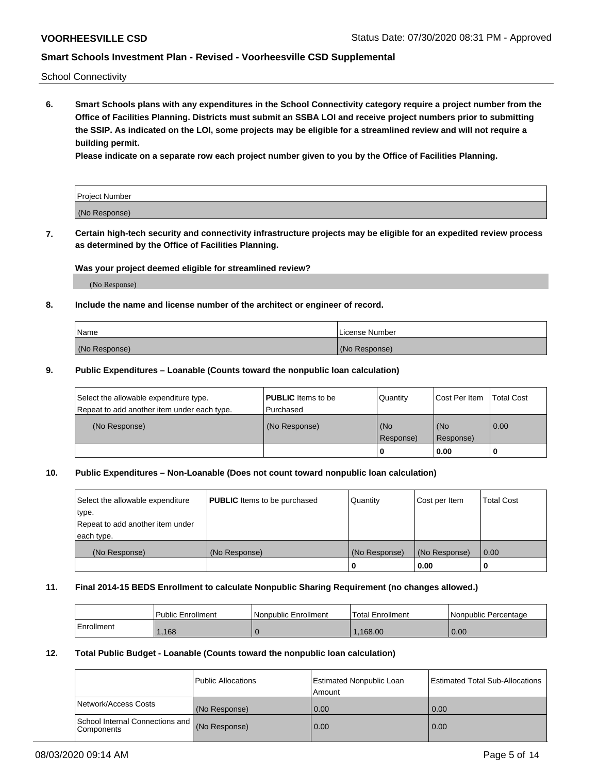School Connectivity

**6. Smart Schools plans with any expenditures in the School Connectivity category require a project number from the Office of Facilities Planning. Districts must submit an SSBA LOI and receive project numbers prior to submitting the SSIP. As indicated on the LOI, some projects may be eligible for a streamlined review and will not require a building permit.**

**Please indicate on a separate row each project number given to you by the Office of Facilities Planning.**

| Project Number |  |
|----------------|--|
| (No Response)  |  |

**7. Certain high-tech security and connectivity infrastructure projects may be eligible for an expedited review process as determined by the Office of Facilities Planning.**

## **Was your project deemed eligible for streamlined review?**

(No Response)

### **8. Include the name and license number of the architect or engineer of record.**

| Name          | License Number |
|---------------|----------------|
| (No Response) | (No Response)  |

### **9. Public Expenditures – Loanable (Counts toward the nonpublic loan calculation)**

| Select the allowable expenditure type.<br>Repeat to add another item under each type. | <b>PUBLIC</b> Items to be<br>l Purchased | Quantity           | Cost Per Item    | <b>Total Cost</b> |
|---------------------------------------------------------------------------------------|------------------------------------------|--------------------|------------------|-------------------|
| (No Response)                                                                         | (No Response)                            | l (No<br>Response) | (No<br>Response) | $\overline{0.00}$ |
|                                                                                       |                                          | O                  | 0.00             |                   |

## **10. Public Expenditures – Non-Loanable (Does not count toward nonpublic loan calculation)**

| Select the allowable expenditure<br>type.<br>Repeat to add another item under<br>each type. | <b>PUBLIC</b> Items to be purchased | Quantity      | Cost per Item | <b>Total Cost</b> |
|---------------------------------------------------------------------------------------------|-------------------------------------|---------------|---------------|-------------------|
| (No Response)                                                                               | (No Response)                       | (No Response) | (No Response) | 0.00              |
|                                                                                             |                                     |               | 0.00          |                   |

#### **11. Final 2014-15 BEDS Enrollment to calculate Nonpublic Sharing Requirement (no changes allowed.)**

|            | Public Enrollment | Nonpublic Enrollment | <b>Total Enrollment</b> | l Nonpublic Percentage |
|------------|-------------------|----------------------|-------------------------|------------------------|
| Enrollment | ,168              |                      | .168.00                 | 0.00                   |

#### **12. Total Public Budget - Loanable (Counts toward the nonpublic loan calculation)**

|                                                      | Public Allocations | <b>Estimated Nonpublic Loan</b><br>Amount | Estimated Total Sub-Allocations |
|------------------------------------------------------|--------------------|-------------------------------------------|---------------------------------|
| Network/Access Costs                                 | (No Response)      | 0.00                                      | 0.00                            |
| School Internal Connections and<br><b>Components</b> | (No Response)      | 0.00                                      | 0.00                            |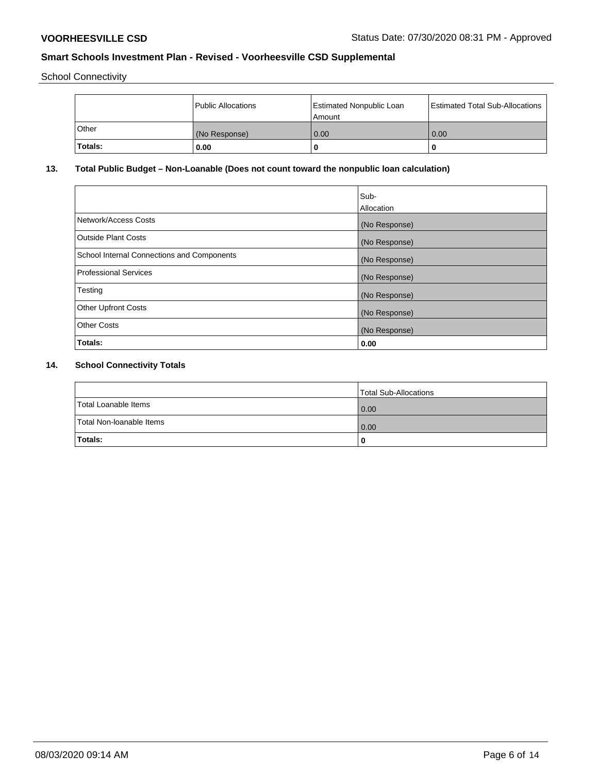School Connectivity

|         | <b>Public Allocations</b> | <b>Estimated Nonpublic Loan</b><br>Amount | <b>Estimated Total Sub-Allocations</b> |
|---------|---------------------------|-------------------------------------------|----------------------------------------|
| Other   | (No Response)             | 0.00                                      | 0.00                                   |
| Totals: | 0.00                      |                                           | O                                      |

# **13. Total Public Budget – Non-Loanable (Does not count toward the nonpublic loan calculation)**

| Sub-<br>Allocation |
|--------------------|
| (No Response)      |
| (No Response)      |
| (No Response)      |
| (No Response)      |
| (No Response)      |
| (No Response)      |
| (No Response)      |
| 0.00               |
|                    |

# **14. School Connectivity Totals**

|                          | Total Sub-Allocations |
|--------------------------|-----------------------|
| Total Loanable Items     | $\overline{0.00}$     |
| Total Non-Ioanable Items | $\overline{0.00}$     |
| Totals:                  |                       |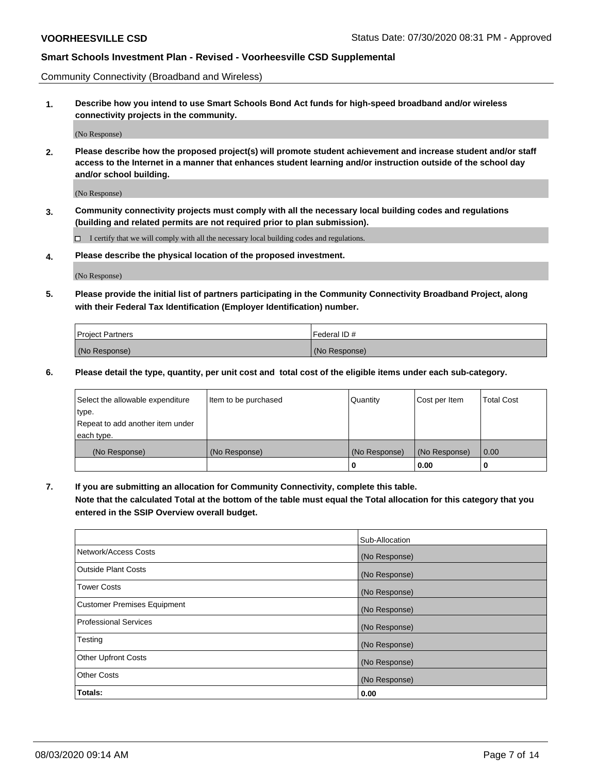Community Connectivity (Broadband and Wireless)

**1. Describe how you intend to use Smart Schools Bond Act funds for high-speed broadband and/or wireless connectivity projects in the community.**

(No Response)

**2. Please describe how the proposed project(s) will promote student achievement and increase student and/or staff access to the Internet in a manner that enhances student learning and/or instruction outside of the school day and/or school building.**

(No Response)

**3. Community connectivity projects must comply with all the necessary local building codes and regulations (building and related permits are not required prior to plan submission).**

 $\Box$  I certify that we will comply with all the necessary local building codes and regulations.

**4. Please describe the physical location of the proposed investment.**

(No Response)

**5. Please provide the initial list of partners participating in the Community Connectivity Broadband Project, along with their Federal Tax Identification (Employer Identification) number.**

| <b>Project Partners</b> | l Federal ID # |
|-------------------------|----------------|
| (No Response)           | (No Response)  |

**6. Please detail the type, quantity, per unit cost and total cost of the eligible items under each sub-category.**

| Select the allowable expenditure | Item to be purchased | Quantity      | Cost per Item | <b>Total Cost</b> |
|----------------------------------|----------------------|---------------|---------------|-------------------|
| type.                            |                      |               |               |                   |
| Repeat to add another item under |                      |               |               |                   |
| each type.                       |                      |               |               |                   |
| (No Response)                    | (No Response)        | (No Response) | (No Response) | 0.00              |
|                                  |                      | o             | 0.00          |                   |

**7. If you are submitting an allocation for Community Connectivity, complete this table.**

**Note that the calculated Total at the bottom of the table must equal the Total allocation for this category that you entered in the SSIP Overview overall budget.**

|                                    | Sub-Allocation |
|------------------------------------|----------------|
| Network/Access Costs               | (No Response)  |
| Outside Plant Costs                | (No Response)  |
| <b>Tower Costs</b>                 | (No Response)  |
| <b>Customer Premises Equipment</b> | (No Response)  |
| <b>Professional Services</b>       | (No Response)  |
| Testing                            | (No Response)  |
| <b>Other Upfront Costs</b>         | (No Response)  |
| <b>Other Costs</b>                 | (No Response)  |
| Totals:                            | 0.00           |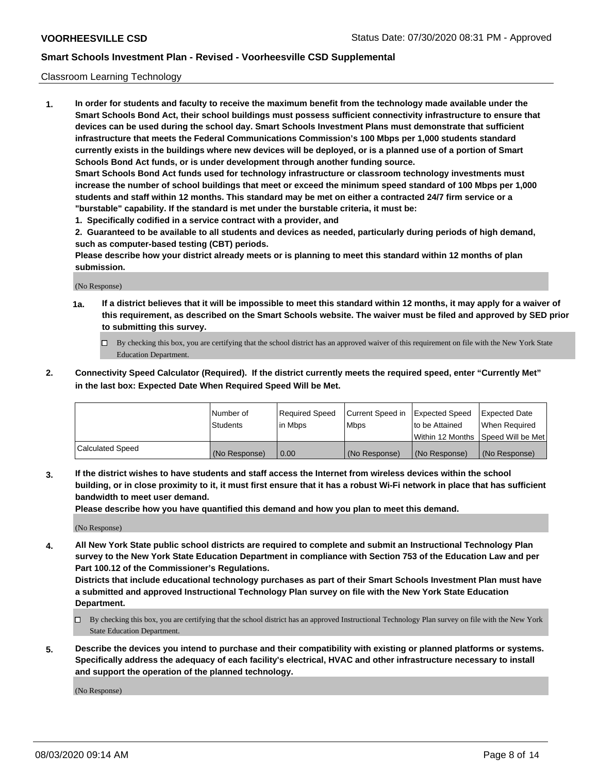### Classroom Learning Technology

**1. In order for students and faculty to receive the maximum benefit from the technology made available under the Smart Schools Bond Act, their school buildings must possess sufficient connectivity infrastructure to ensure that devices can be used during the school day. Smart Schools Investment Plans must demonstrate that sufficient infrastructure that meets the Federal Communications Commission's 100 Mbps per 1,000 students standard currently exists in the buildings where new devices will be deployed, or is a planned use of a portion of Smart Schools Bond Act funds, or is under development through another funding source. Smart Schools Bond Act funds used for technology infrastructure or classroom technology investments must increase the number of school buildings that meet or exceed the minimum speed standard of 100 Mbps per 1,000 students and staff within 12 months. This standard may be met on either a contracted 24/7 firm service or a**

**"burstable" capability. If the standard is met under the burstable criteria, it must be: 1. Specifically codified in a service contract with a provider, and**

**2. Guaranteed to be available to all students and devices as needed, particularly during periods of high demand, such as computer-based testing (CBT) periods.**

**Please describe how your district already meets or is planning to meet this standard within 12 months of plan submission.**

(No Response)

- **1a. If a district believes that it will be impossible to meet this standard within 12 months, it may apply for a waiver of this requirement, as described on the Smart Schools website. The waiver must be filed and approved by SED prior to submitting this survey.**
	- By checking this box, you are certifying that the school district has an approved waiver of this requirement on file with the New York State Education Department.
- **2. Connectivity Speed Calculator (Required). If the district currently meets the required speed, enter "Currently Met" in the last box: Expected Date When Required Speed Will be Met.**

|                  | l Number of     | Required Speed | Current Speed in | <b>Expected Speed</b> | <b>Expected Date</b>                |
|------------------|-----------------|----------------|------------------|-----------------------|-------------------------------------|
|                  | <b>Students</b> | l in Mbps      | l Mbps           | to be Attained        | When Required                       |
|                  |                 |                |                  |                       | Within 12 Months  Speed Will be Met |
| Calculated Speed | (No Response)   | 0.00           | (No Response)    | l (No Response)       | (No Response)                       |

**3. If the district wishes to have students and staff access the Internet from wireless devices within the school building, or in close proximity to it, it must first ensure that it has a robust Wi-Fi network in place that has sufficient bandwidth to meet user demand.**

**Please describe how you have quantified this demand and how you plan to meet this demand.**

(No Response)

**4. All New York State public school districts are required to complete and submit an Instructional Technology Plan survey to the New York State Education Department in compliance with Section 753 of the Education Law and per Part 100.12 of the Commissioner's Regulations.**

**Districts that include educational technology purchases as part of their Smart Schools Investment Plan must have a submitted and approved Instructional Technology Plan survey on file with the New York State Education Department.**

- By checking this box, you are certifying that the school district has an approved Instructional Technology Plan survey on file with the New York State Education Department.
- **5. Describe the devices you intend to purchase and their compatibility with existing or planned platforms or systems. Specifically address the adequacy of each facility's electrical, HVAC and other infrastructure necessary to install and support the operation of the planned technology.**

(No Response)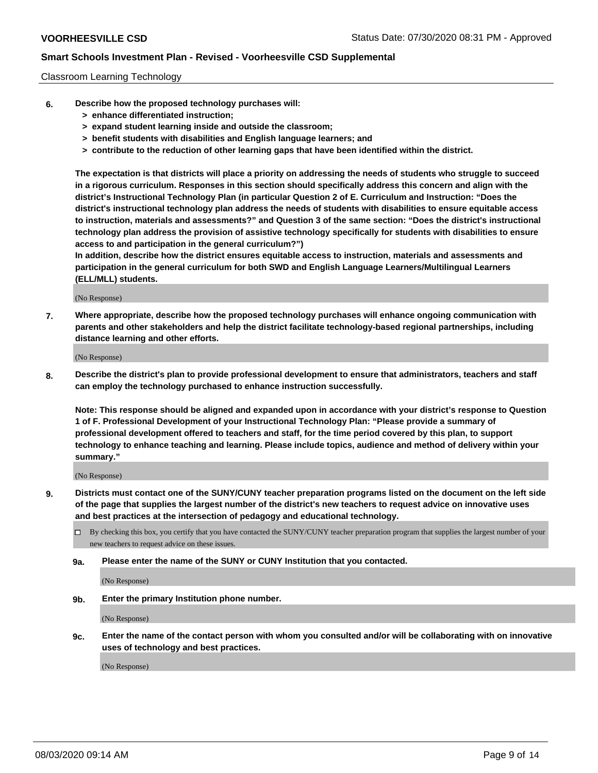### Classroom Learning Technology

- **6. Describe how the proposed technology purchases will:**
	- **> enhance differentiated instruction;**
	- **> expand student learning inside and outside the classroom;**
	- **> benefit students with disabilities and English language learners; and**
	- **> contribute to the reduction of other learning gaps that have been identified within the district.**

**The expectation is that districts will place a priority on addressing the needs of students who struggle to succeed in a rigorous curriculum. Responses in this section should specifically address this concern and align with the district's Instructional Technology Plan (in particular Question 2 of E. Curriculum and Instruction: "Does the district's instructional technology plan address the needs of students with disabilities to ensure equitable access to instruction, materials and assessments?" and Question 3 of the same section: "Does the district's instructional technology plan address the provision of assistive technology specifically for students with disabilities to ensure access to and participation in the general curriculum?")**

**In addition, describe how the district ensures equitable access to instruction, materials and assessments and participation in the general curriculum for both SWD and English Language Learners/Multilingual Learners (ELL/MLL) students.**

(No Response)

**7. Where appropriate, describe how the proposed technology purchases will enhance ongoing communication with parents and other stakeholders and help the district facilitate technology-based regional partnerships, including distance learning and other efforts.**

(No Response)

**8. Describe the district's plan to provide professional development to ensure that administrators, teachers and staff can employ the technology purchased to enhance instruction successfully.**

**Note: This response should be aligned and expanded upon in accordance with your district's response to Question 1 of F. Professional Development of your Instructional Technology Plan: "Please provide a summary of professional development offered to teachers and staff, for the time period covered by this plan, to support technology to enhance teaching and learning. Please include topics, audience and method of delivery within your summary."**

(No Response)

- **9. Districts must contact one of the SUNY/CUNY teacher preparation programs listed on the document on the left side of the page that supplies the largest number of the district's new teachers to request advice on innovative uses and best practices at the intersection of pedagogy and educational technology.**
	- By checking this box, you certify that you have contacted the SUNY/CUNY teacher preparation program that supplies the largest number of your new teachers to request advice on these issues.
	- **9a. Please enter the name of the SUNY or CUNY Institution that you contacted.**

(No Response)

**9b. Enter the primary Institution phone number.**

(No Response)

**9c. Enter the name of the contact person with whom you consulted and/or will be collaborating with on innovative uses of technology and best practices.**

(No Response)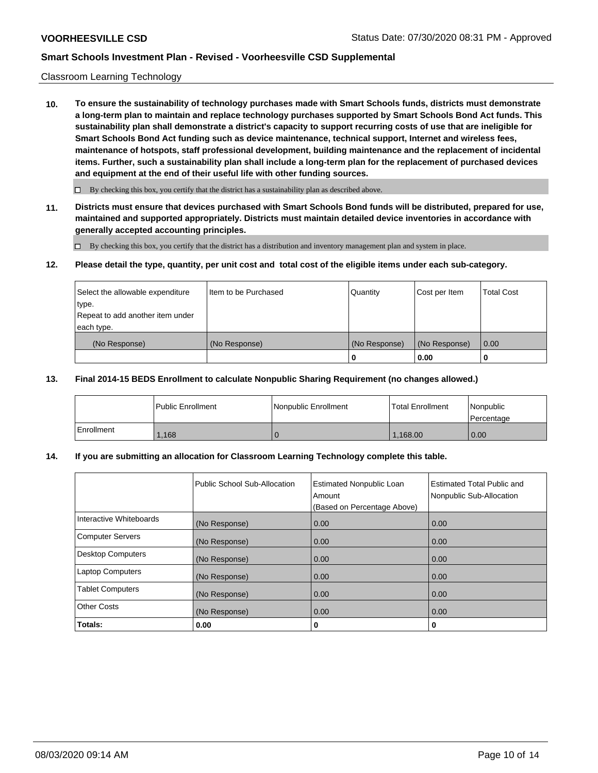### Classroom Learning Technology

**10. To ensure the sustainability of technology purchases made with Smart Schools funds, districts must demonstrate a long-term plan to maintain and replace technology purchases supported by Smart Schools Bond Act funds. This sustainability plan shall demonstrate a district's capacity to support recurring costs of use that are ineligible for Smart Schools Bond Act funding such as device maintenance, technical support, Internet and wireless fees, maintenance of hotspots, staff professional development, building maintenance and the replacement of incidental items. Further, such a sustainability plan shall include a long-term plan for the replacement of purchased devices and equipment at the end of their useful life with other funding sources.**

 $\Box$  By checking this box, you certify that the district has a sustainability plan as described above.

**11. Districts must ensure that devices purchased with Smart Schools Bond funds will be distributed, prepared for use, maintained and supported appropriately. Districts must maintain detailed device inventories in accordance with generally accepted accounting principles.**

By checking this box, you certify that the district has a distribution and inventory management plan and system in place.

### **12. Please detail the type, quantity, per unit cost and total cost of the eligible items under each sub-category.**

| Select the allowable expenditure<br>type.<br>Repeat to add another item under | Item to be Purchased | Quantity      | Cost per Item | <b>Total Cost</b> |
|-------------------------------------------------------------------------------|----------------------|---------------|---------------|-------------------|
| each type.<br>(No Response)                                                   | (No Response)        | (No Response) | (No Response) | 0.00              |
|                                                                               |                      | 0             | 0.00          |                   |

### **13. Final 2014-15 BEDS Enrollment to calculate Nonpublic Sharing Requirement (no changes allowed.)**

|            | l Public Enrollment | <b>INonpublic Enrollment</b> | <b>Total Enrollment</b> | Nonpublic<br>l Percentage |
|------------|---------------------|------------------------------|-------------------------|---------------------------|
| Enrollment | .168                |                              | 1.168.00                | 0.00                      |

## **14. If you are submitting an allocation for Classroom Learning Technology complete this table.**

|                          | Public School Sub-Allocation | <b>Estimated Nonpublic Loan</b><br>Amount<br>(Based on Percentage Above) | <b>Estimated Total Public and</b><br>Nonpublic Sub-Allocation |
|--------------------------|------------------------------|--------------------------------------------------------------------------|---------------------------------------------------------------|
| Interactive Whiteboards  | (No Response)                | 0.00                                                                     | 0.00                                                          |
| Computer Servers         | (No Response)                | 0.00                                                                     | 0.00                                                          |
| <b>Desktop Computers</b> | (No Response)                | 0.00                                                                     | 0.00                                                          |
| <b>Laptop Computers</b>  | (No Response)                | 0.00                                                                     | 0.00                                                          |
| <b>Tablet Computers</b>  | (No Response)                | 0.00                                                                     | 0.00                                                          |
| Other Costs              | (No Response)                | 0.00                                                                     | 0.00                                                          |
| Totals:                  | 0.00                         | 0                                                                        | 0                                                             |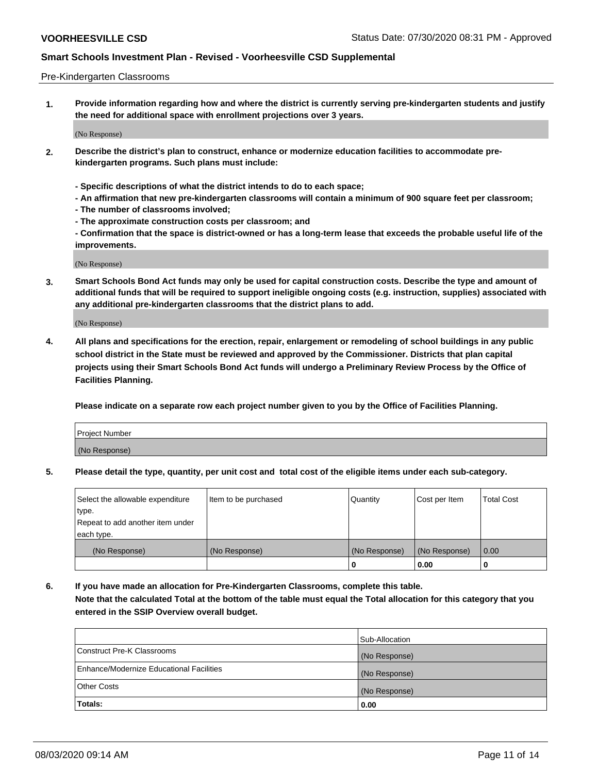### Pre-Kindergarten Classrooms

**1. Provide information regarding how and where the district is currently serving pre-kindergarten students and justify the need for additional space with enrollment projections over 3 years.**

(No Response)

- **2. Describe the district's plan to construct, enhance or modernize education facilities to accommodate prekindergarten programs. Such plans must include:**
	- **Specific descriptions of what the district intends to do to each space;**
	- **An affirmation that new pre-kindergarten classrooms will contain a minimum of 900 square feet per classroom;**
	- **The number of classrooms involved;**
	- **The approximate construction costs per classroom; and**
	- **Confirmation that the space is district-owned or has a long-term lease that exceeds the probable useful life of the improvements.**

(No Response)

**3. Smart Schools Bond Act funds may only be used for capital construction costs. Describe the type and amount of additional funds that will be required to support ineligible ongoing costs (e.g. instruction, supplies) associated with any additional pre-kindergarten classrooms that the district plans to add.**

(No Response)

**4. All plans and specifications for the erection, repair, enlargement or remodeling of school buildings in any public school district in the State must be reviewed and approved by the Commissioner. Districts that plan capital projects using their Smart Schools Bond Act funds will undergo a Preliminary Review Process by the Office of Facilities Planning.**

**Please indicate on a separate row each project number given to you by the Office of Facilities Planning.**

| Project Number |  |
|----------------|--|
| (No Response)  |  |
|                |  |

**5. Please detail the type, quantity, per unit cost and total cost of the eligible items under each sub-category.**

| Select the allowable expenditure | Item to be purchased | Quantity      | Cost per Item | <b>Total Cost</b> |
|----------------------------------|----------------------|---------------|---------------|-------------------|
| type.                            |                      |               |               |                   |
| Repeat to add another item under |                      |               |               |                   |
| each type.                       |                      |               |               |                   |
| (No Response)                    | (No Response)        | (No Response) | (No Response) | 0.00              |
|                                  |                      | U             | 0.00          |                   |

**6. If you have made an allocation for Pre-Kindergarten Classrooms, complete this table. Note that the calculated Total at the bottom of the table must equal the Total allocation for this category that you entered in the SSIP Overview overall budget.**

|                                          | Sub-Allocation |
|------------------------------------------|----------------|
| Construct Pre-K Classrooms               | (No Response)  |
| Enhance/Modernize Educational Facilities | (No Response)  |
| <b>Other Costs</b>                       | (No Response)  |
| Totals:                                  | 0.00           |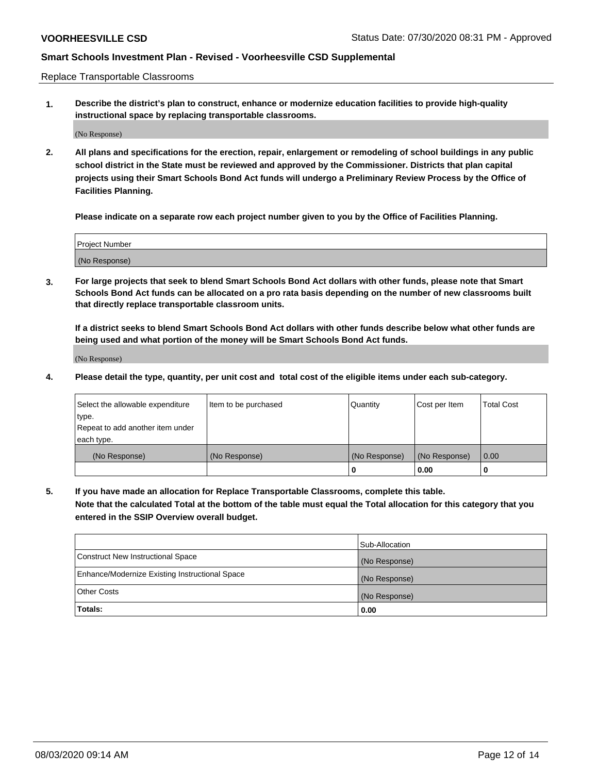Replace Transportable Classrooms

**1. Describe the district's plan to construct, enhance or modernize education facilities to provide high-quality instructional space by replacing transportable classrooms.**

(No Response)

**2. All plans and specifications for the erection, repair, enlargement or remodeling of school buildings in any public school district in the State must be reviewed and approved by the Commissioner. Districts that plan capital projects using their Smart Schools Bond Act funds will undergo a Preliminary Review Process by the Office of Facilities Planning.**

**Please indicate on a separate row each project number given to you by the Office of Facilities Planning.**

| Project Number |  |
|----------------|--|
|                |  |
|                |  |
|                |  |
| (No Response)  |  |
|                |  |
|                |  |

**3. For large projects that seek to blend Smart Schools Bond Act dollars with other funds, please note that Smart Schools Bond Act funds can be allocated on a pro rata basis depending on the number of new classrooms built that directly replace transportable classroom units.**

**If a district seeks to blend Smart Schools Bond Act dollars with other funds describe below what other funds are being used and what portion of the money will be Smart Schools Bond Act funds.**

(No Response)

**4. Please detail the type, quantity, per unit cost and total cost of the eligible items under each sub-category.**

| Select the allowable expenditure | Item to be purchased | Quantity      | Cost per Item | Total Cost |
|----------------------------------|----------------------|---------------|---------------|------------|
| ∣type.                           |                      |               |               |            |
| Repeat to add another item under |                      |               |               |            |
| each type.                       |                      |               |               |            |
| (No Response)                    | (No Response)        | (No Response) | (No Response) | 0.00       |
|                                  |                      | u             | 0.00          |            |

**5. If you have made an allocation for Replace Transportable Classrooms, complete this table. Note that the calculated Total at the bottom of the table must equal the Total allocation for this category that you entered in the SSIP Overview overall budget.**

|                                                | Sub-Allocation |
|------------------------------------------------|----------------|
| Construct New Instructional Space              | (No Response)  |
| Enhance/Modernize Existing Instructional Space | (No Response)  |
| Other Costs                                    | (No Response)  |
| Totals:                                        | 0.00           |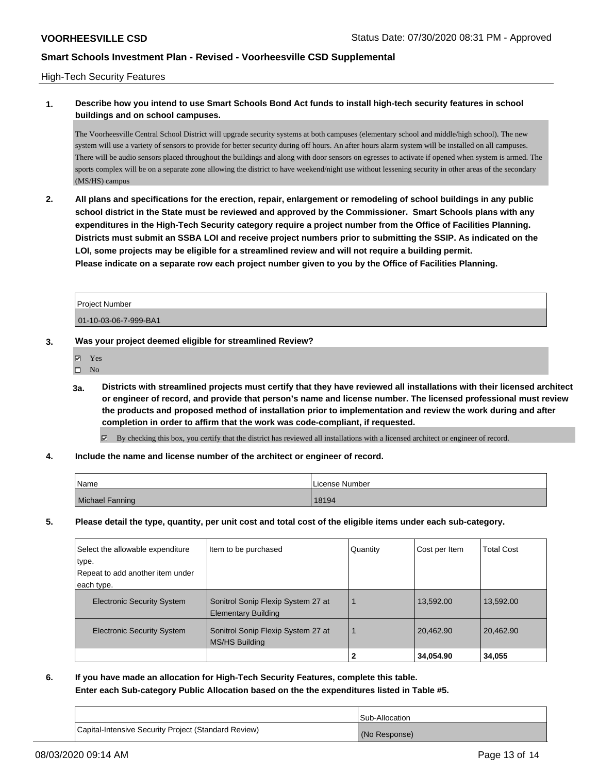## High-Tech Security Features

## **1. Describe how you intend to use Smart Schools Bond Act funds to install high-tech security features in school buildings and on school campuses.**

The Voorheesville Central School District will upgrade security systems at both campuses (elementary school and middle/high school). The new system will use a variety of sensors to provide for better security during off hours. An after hours alarm system will be installed on all campuses. There will be audio sensors placed throughout the buildings and along with door sensors on egresses to activate if opened when system is armed. The sports complex will be on a separate zone allowing the district to have weekend/night use without lessening security in other areas of the secondary (MS/HS) campus

**2. All plans and specifications for the erection, repair, enlargement or remodeling of school buildings in any public school district in the State must be reviewed and approved by the Commissioner. Smart Schools plans with any expenditures in the High-Tech Security category require a project number from the Office of Facilities Planning. Districts must submit an SSBA LOI and receive project numbers prior to submitting the SSIP. As indicated on the LOI, some projects may be eligible for a streamlined review and will not require a building permit. Please indicate on a separate row each project number given to you by the Office of Facilities Planning.**

Project Number 01-10-03-06-7-999-BA1

# **3. Was your project deemed eligible for streamlined Review?**

- Yes
- $\square$  No
- **3a. Districts with streamlined projects must certify that they have reviewed all installations with their licensed architect or engineer of record, and provide that person's name and license number. The licensed professional must review the products and proposed method of installation prior to implementation and review the work during and after completion in order to affirm that the work was code-compliant, if requested.**
	- By checking this box, you certify that the district has reviewed all installations with a licensed architect or engineer of record.
- **4. Include the name and license number of the architect or engineer of record.**

| Name            | License Number |
|-----------------|----------------|
| Michael Fanning | 18194          |

**5. Please detail the type, quantity, per unit cost and total cost of the eligible items under each sub-category.**

| Select the allowable expenditure  | Item to be purchased                                             | Quantity | Cost per Item | <b>Total Cost</b> |
|-----------------------------------|------------------------------------------------------------------|----------|---------------|-------------------|
| type.                             |                                                                  |          |               |                   |
| Repeat to add another item under  |                                                                  |          |               |                   |
| each type.                        |                                                                  |          |               |                   |
| <b>Electronic Security System</b> | Sonitrol Sonip Flexip System 27 at<br><b>Elementary Building</b> |          | 13,592.00     | 13,592.00         |
| <b>Electronic Security System</b> | Sonitrol Sonip Flexip System 27 at<br>MS/HS Building             |          | 20,462.90     | 20,462.90         |
|                                   |                                                                  |          | 34,054.90     | 34,055            |

**6. If you have made an allocation for High-Tech Security Features, complete this table. Enter each Sub-category Public Allocation based on the the expenditures listed in Table #5.**

|                                                      | Sub-Allocation |
|------------------------------------------------------|----------------|
| Capital-Intensive Security Project (Standard Review) | (No Response)  |